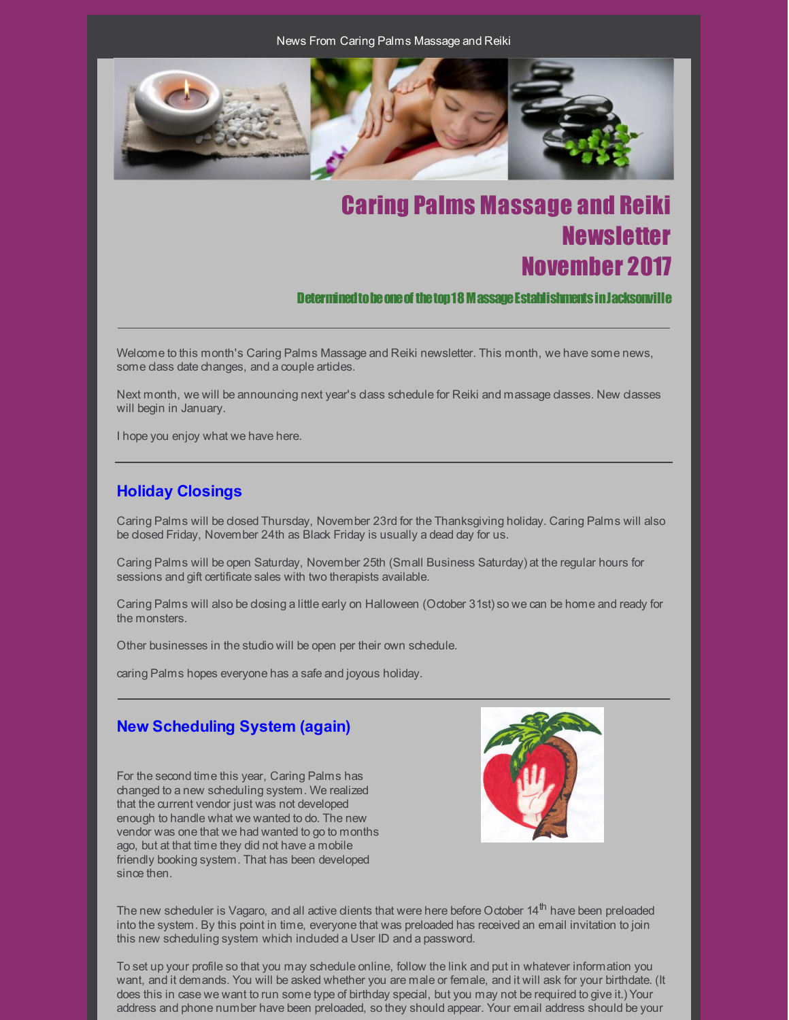News From Caring Palms Massage and Reiki



# Caring Palms Massage and Reiki **Newsletter** November 2017

Determined to be one of the top 18 M assage Establishments in Jacksonville

Welcome to this month's Caring Palms Massage and Reiki newsletter. This month, we have some news, some class date changes, and a couple articles.

Next month, we will be announcing next year's class schedule for Reiki and massage classes. New classes will begin in January.

I hope you enjoy what we have here.

# **Holiday Closings**

Caring Palms will be closed Thursday, November 23rd for the Thanksgiving holiday. Caring Palms will also be closed Friday, November 24th as Black Friday is usually a dead day for us.

Caring Palms will be open Saturday, November 25th (Small Business Saturday) at the regular hours for sessions and gift certificate sales with two therapists available.

Caring Palms will also be closing a little early on Halloween (October 31st) so we can be home and ready for the monsters.

Other businesses in the studio will be open per their own schedule.

caring Palms hopes everyone has a safe and joyous holiday.

# **New Scheduling System (again)**

For the second time this year, Caring Palms has changed to a new scheduling system. We realized that the current vendor just was not developed enough to handle what we wanted to do. The new vendor was one that we had wanted to go to months ago, but at that time they did not have a mobile friendly booking system. That has been developed since then.



The new scheduler is Vagaro, and all active dients that were here before October 14<sup>th</sup> have been preloaded into the system. By this point in time, everyone that was preloaded has received an email invitation to join this new scheduling system which induded a User ID and a password.

To set up your profile so that you may schedule online, follow the link and put in whatever information you want, and it demands. You will be asked whether you are male or female, and it will ask for your birthdate. (It does this in case we want to run some type of birthday special, but you may not be required to give it.) Your address and phone number have been preloaded, so they should appear. Your email address should be your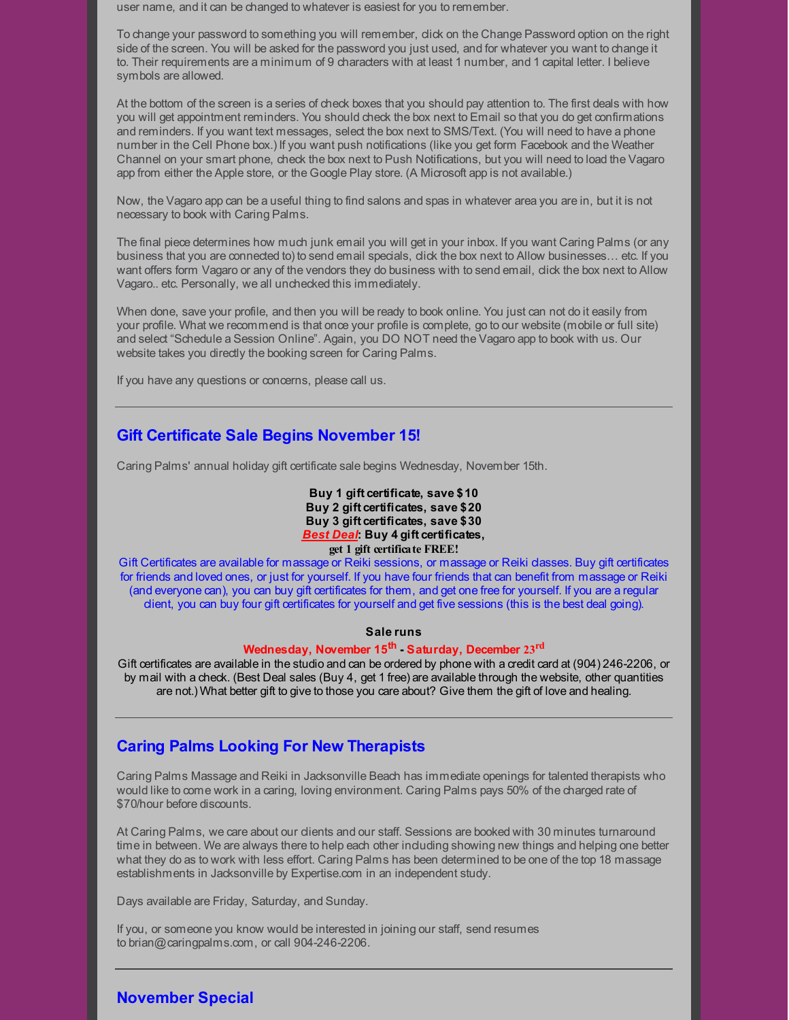user name, and it can be changed to whatever is easiest for you to remember.

To change your password to something you will remember, click on the Change Password option on the right side of the screen. You will be asked for the password you just used, and for whatever you want to change it to. Their requirements are a minimum of 9 characters with at least 1 number, and 1 capital letter. I believe symbols are allowed.

At the bottom of the screen is a series of check boxes that you should pay attention to. The first deals with how you will get appointment reminders. You should check the box next to Email so that you do get confirmations and reminders. If you want text messages, select the box next to SMS/Text. (You will need to have a phone number in the Cell Phone box.) If you want push notifications (like you get form Facebook and the Weather Channel on your smart phone, check the box next to Push Notifications, but you will need to load the Vagaro app from either the Apple store, or the Google Play store. (A Microsoft app is not available.)

Now, the Vagaro app can be a useful thing to find salons and spas in whatever area you are in, but it is not necessary to book with Caring Palms.

The final piece determines how much junk email you will get in your inbox. If you want Caring Palms (or any business that you are connected to) to send email specials, click the box next to Allow businesses… etc. If you want offers form Vagaro or any of the vendors they do business with to send email, click the box next to Allow Vagaro.. etc. Personally, we all unchecked this immediately.

When done, save your profile, and then you will be ready to book online. You just can not do it easily from your profile. What we recommend is that once your profile is complete, go to our website (mobile or full site) and select "Schedule a Session Online". Again, you DO NOT need the Vagaro app to book with us. Our website takes you directly the booking screen for Caring Palms.

If you have any questions or concerns, please call us.

## **Gift Certificate Sale Begins November 15!**

Caring Palms' annual holiday gift certificate sale begins Wednesday, November 15th.

#### **Buy 1 gift certificate, save \$10 Buy 2 gift certificates, save \$20 Buy 3 gift certificates, save \$30** *Best Deal***: Buy 4 gift certificates, get 1 gift certificate FREE!**

Gift Certificates are available for massage or Reiki sessions, or massage or Reiki classes. Buy gift certificates for friends and loved ones, or just for yourself. If you have four friends that can benefit from massage or Reiki (and everyone can), you can buy gift certificates for them, and get one free for yourself. If you are a regular client, you can buy four gift certificates for yourself and get five sessions (this is the best deal going).

#### **Sale runs**

#### **Wednesday, November 15 th - Saturday, December 23 rd**

Gift certificates are available in the studio and can be ordered by phone with a credit card at (904) 246-2206, or by mail with a check. (Best Deal sales (Buy 4, get 1 free) are available through the website, other quantities are not.) What better gift to give to those you care about? Give them the gift of love and healing.

# **Caring Palms Looking For New Therapists**

Caring Palms Massage and Reiki in Jacksonville Beach has immediate openings for talented therapists who would like to come work in a caring, loving environment. Caring Palms pays 50% of the charged rate of \$70/hour before discounts.

At Caring Palms, we care about our clients and our staff. Sessions are booked with 30 minutes turnaround time in between. We are always there to help each other including showing new things and helping one better what they do as to work with less effort. Caring Palms has been determined to be one of the top 18 massage establishments in Jacksonville by Expertise.com in an independent study.

Days available are Friday, Saturday, and Sunday.

If you, or someone you know would be interested in joining our staff, send resumes to brian@caringpalms.com, or call 904-246-2206.

## **November Special**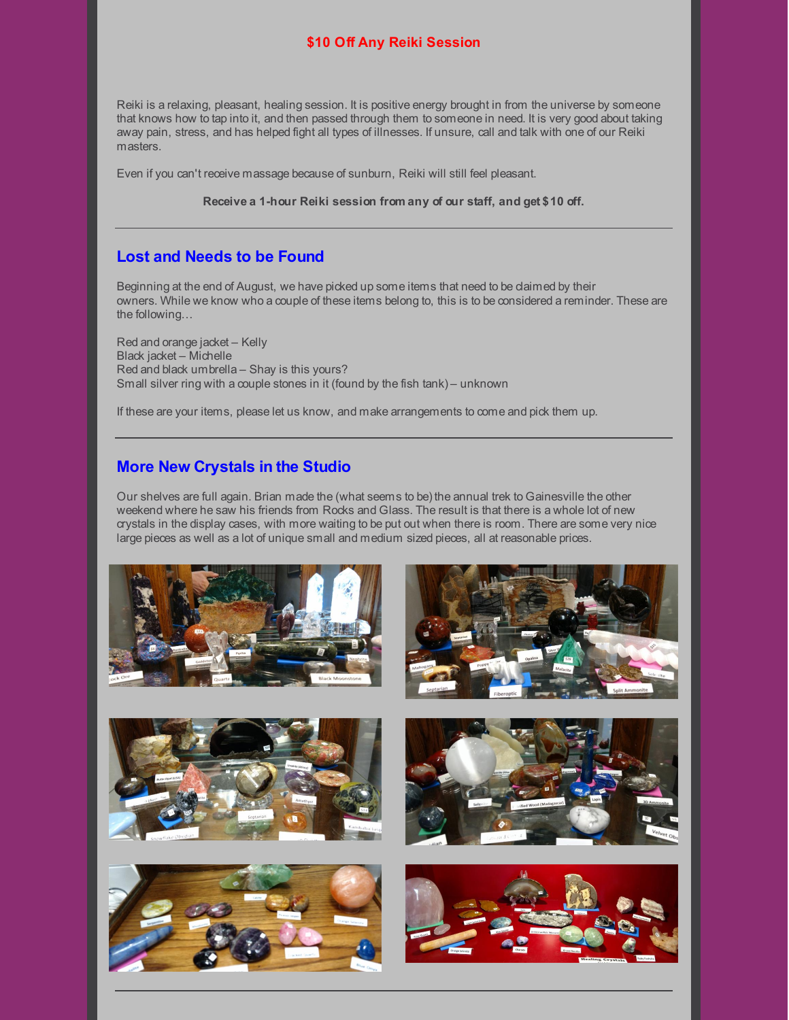#### **\$10 Off Any Reiki Session**

Reiki is a relaxing, pleasant, healing session. It is positive energy brought in from the universe by someone that knows how to tap into it, and then passed through them to someone in need. It is very good about taking away pain, stress, and has helped fight all types of illnesses. If unsure, call and talk with one of our Reiki masters.

Even if you can't receive massage because of sunburn, Reiki will still feel pleasant.

**Receive a 1-hour Reiki session from any of our staff, and get \$10 off.**

## **Lost and Needs to be Found**

Beginning at the end of August, we have picked up some items that need to be claimed by their owners. While we know who a couple of these items belong to, this is to be considered a reminder. These are the following…

Red and orange jacket – Kelly Black jacket – Michelle Red and black umbrella – Shay is this yours? Small silver ring with a couple stones in it (found by the fish tank) – unknown

If these are your items, please let us know, and make arrangements to come and pick them up.

## **More New Crystals in the Studio**

Our shelves are full again. Brian made the (what seems to be) the annual trek to Gainesville the other weekend where he saw his friends from Rocks and Glass. The result is that there is a whole lot of new crystals in the display cases, with more waiting to be put out when there is room. There are some very nice large pieces as well as a lot of unique small and medium sized pieces, all at reasonable prices.











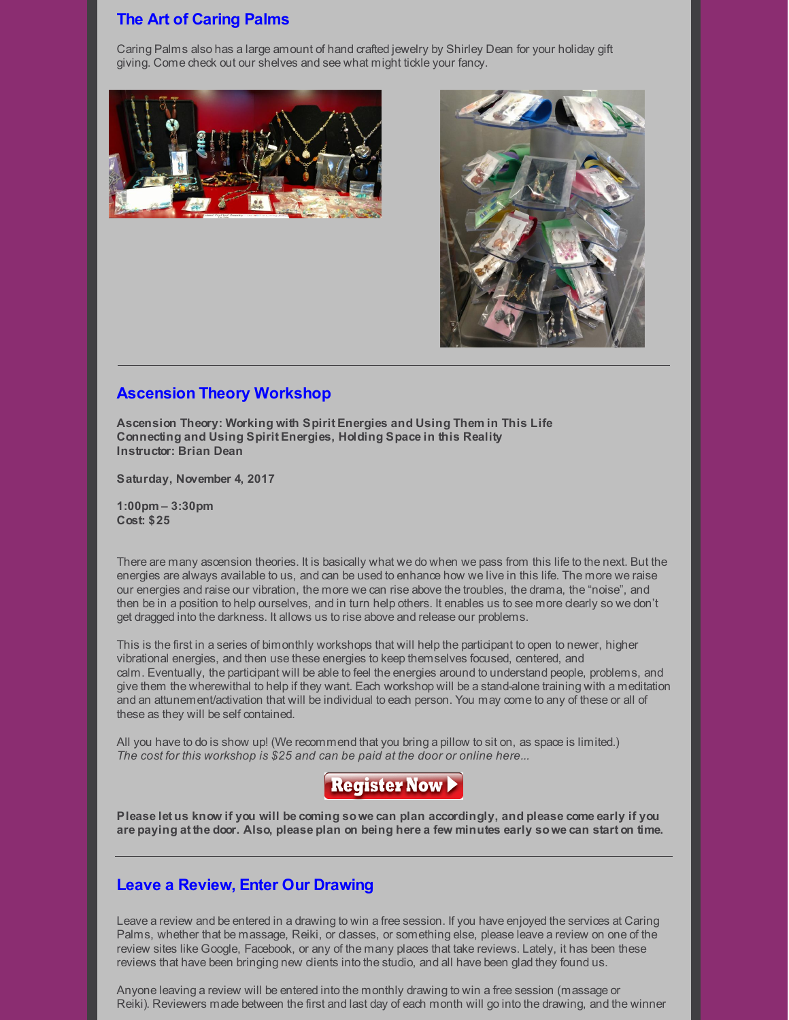## **The Art of Caring Palms**

Caring Palms also has a large amount of hand crafted jewelry by Shirley Dean for your holiday gift giving. Come check out our shelves and see what might tickle your fancy.





#### **Ascension Theory Workshop**

**Ascension Theory: Working with Spirit Energies and Using Them in This Life Connecting and Using Spirit Energies, Holding Space in this Reality Instructor: Brian Dean**

**Saturday, November 4, 2017**

**1:00pm – 3:30pm Cost: \$25**

There are many ascension theories. It is basically what we do when we pass from this life to the next. But the energies are always available to us, and can be used to enhance how we live in this life. The more we raise our energies and raise our vibration, the more we can rise above the troubles, the drama, the "noise", and then be in a position to help ourselves, and in turn help others. It enables us to see more clearly so we don't get dragged into the darkness. It allows us to rise above and release our problems.

This is the first in a series of bimonthly workshops that will help the participant to open to newer, higher vibrational energies, and then use these energies to keep themselves focused, centered, and calm. Eventually, the participant will be able to feel the energies around to understand people, problems, and give them the wherewithal to help if they want. Each workshop will be a stand-alone training with a meditation and an attunement/activation that will be individual to each person. You may come to any of these or all of these as they will be self contained.

All you have to do is show up! (We recommend that you bring a pillow to sit on, as space is limited.) *The cost for this workshop is \$25 and can be paid at the door or online here...*



Please let us know if you will be coming so we can plan accordingly, and please come early if you are paying at the door. Also, please plan on being here a few minutes early so we can start on time.

#### **Leave a Review, Enter Our Drawing**

Leave a review and be entered in a drawing to win a free session. If you have enjoyed the services at Caring Palms, whether that be massage, Reiki, or classes, or something else, please leave a review on one of the review sites like Google, Facebook, or any of the many places that take reviews. Lately, it has been these reviews that have been bringing new clients into the studio, and all have been glad they found us.

Anyone leaving a review will be entered into the monthly drawing to win a free session (massage or Reiki). Reviewers made between the first and last day of each month will go into the drawing, and the winner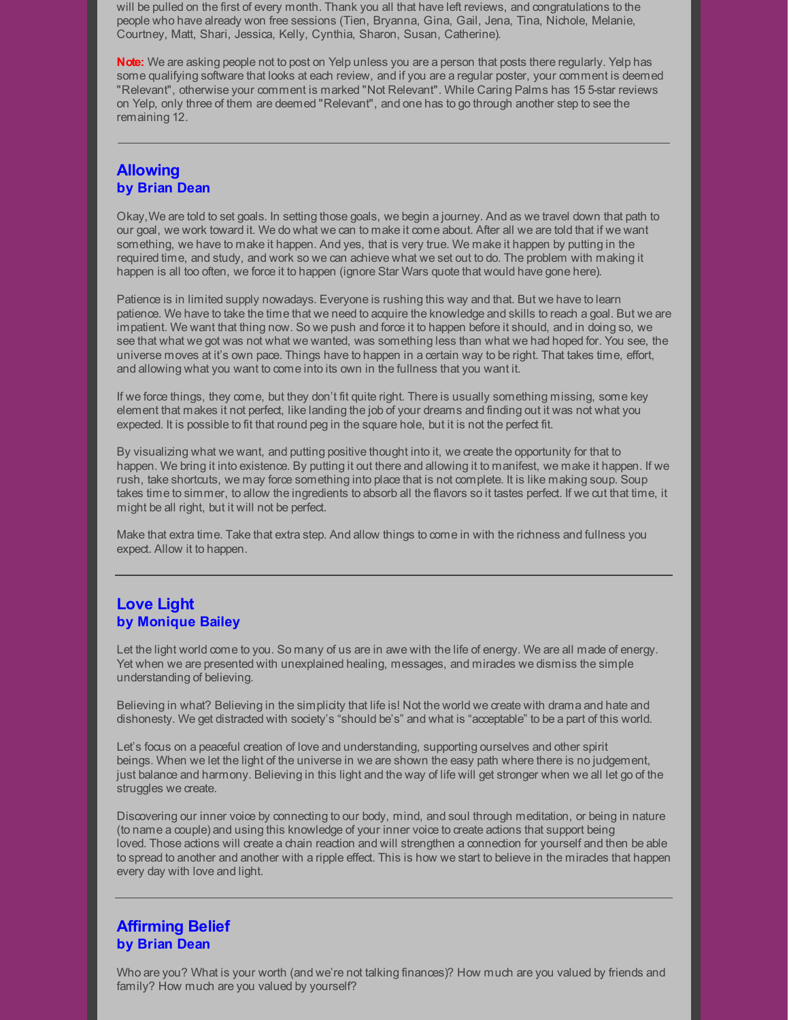will be pulled on the first of every month. Thank you all that have left reviews, and congratulations to the people who have already won free sessions (Tien, Bryanna, Gina, Gail, Jena, Tina, Nichole, Melanie, Courtney, Matt, Shari, Jessica, Kelly, Cynthia, Sharon, Susan, Catherine).

**Note:** We are asking people not to post on Yelp unless you are a person that posts there regularly. Yelp has some qualifying software that looks at each review, and if you are a regular poster, your comment is deemed "Relevant", otherwise your comment is marked "Not Relevant". While Caring Palms has 15 5-star reviews on Yelp, only three of them are deemed "Relevant", and one has to go through another step to see the remaining 12.

#### **Allowing by Brian Dean**

Okay,We are told to set goals. In setting those goals, we begin a journey. And as we travel down that path to our goal, we work toward it. We do what we can to make it come about. After all we are told that if we want something, we have to make it happen. And yes, that is very true. We make it happen by putting in the required time, and study, and work so we can achieve what we set out to do. The problem with making it happen is all too often, we force it to happen (ignore Star Wars quote that would have gone here).

Patience is in limited supply nowadays. Everyone is rushing this way and that. But we have to learn patience. We have to take the time that we need to acquire the knowledge and skills to reach a goal. But we are impatient. We want that thing now. So we push and force it to happen before it should, and in doing so, we see that what we got was not what we wanted, was something less than what we had hoped for. You see, the universe moves at it's own pace. Things have to happen in a certain way to be right. That takes time, effort, and allowing what you want to come into its own in the fullness that you want it.

If we force things, they come, but they don't fit quite right. There is usually something missing, some key element that makes it not perfect, like landing the job of your dreams and finding out it was not what you expected. It is possible to fit that round peg in the square hole, but it is not the perfect fit.

By visualizing what we want, and putting positive thought into it, we create the opportunity for that to happen. We bring it into existence. By putting it out there and allowing it to manifest, we make it happen. If we rush, take shortcuts, we may force something into place that is not complete. It is like making soup. Soup takes time to simmer, to allow the ingredients to absorb all the flavors so it tastes perfect. If we cut that time, it might be all right, but it will not be perfect.

Make that extra time. Take that extra step. And allow things to come in with the richness and fullness you expect. Allow it to happen.

## **Love Light by Monique Bailey**

Let the light world come to you. So many of us are in awe with the life of energy. We are all made of energy. Yet when we are presented with unexplained healing, messages, and mirades we dismiss the simple understanding of believing.

Believing in what? Believing in the simplicity that life is! Not the world we create with drama and hate and dishonesty. We get distracted with society's "should be's" and what is "acceptable" to be a part of this world.

Let's focus on a peaceful creation of love and understanding, supporting ourselves and other spirit beings. When we let the light of the universe in we are shown the easy path where there is no judgement, just balance and harmony. Believing in this light and the way of life will get stronger when we all let go of the struggles we create.

Discovering our inner voice by connecting to our body, mind, and soul through meditation, or being in nature (to name a couple) and using this knowledge of your inner voice to create actions that support being loved. Those actions will create a chain reaction and will strengthen a connection for yourself and then be able to spread to another and another with a ripple effect. This is how we start to believe in the miracles that happen every day with love and light.

# **Affirming Belief by Brian Dean**

Who are you? What is your worth (and we're not talking finances)? How much are you valued by friends and family? How much are you valued by yourself?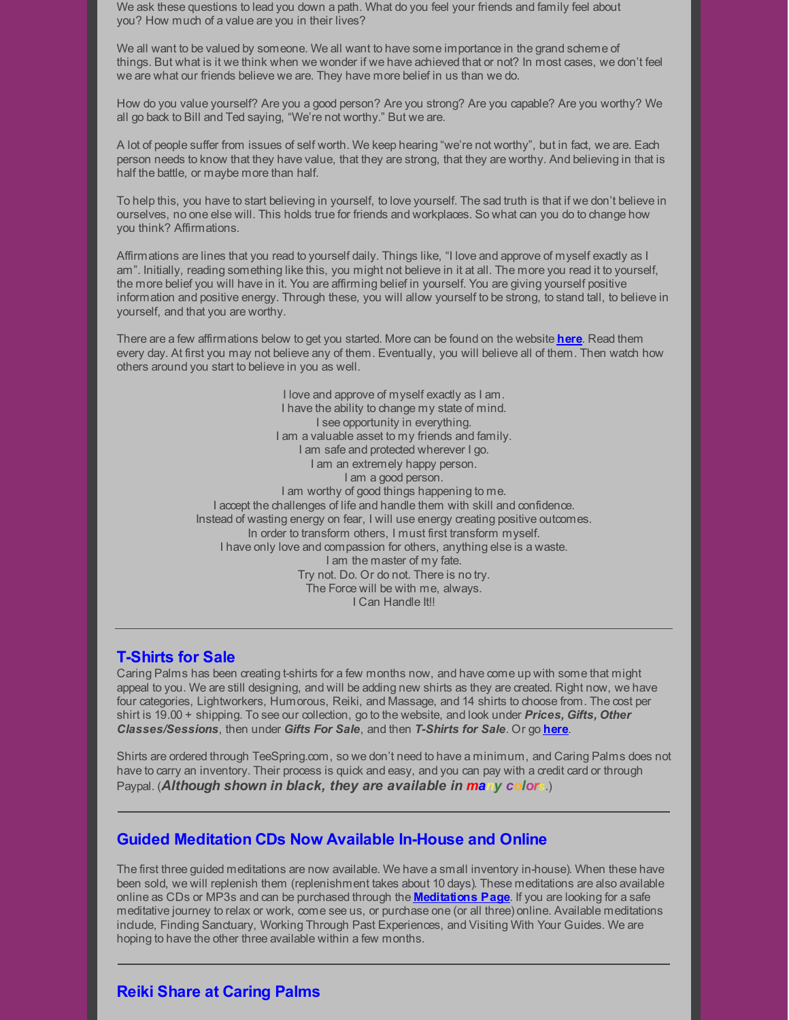We ask these questions to lead you down a path. What do you feel your friends and family feel about you? How much of a value are you in their lives?

We all want to be valued by someone. We all want to have some importance in the grand scheme of things. But what is it we think when we wonder if we have achieved that or not? In most cases, we don't feel we are what our friends believe we are. They have more belief in us than we do.

How do you value yourself? Are you a good person? Are you strong? Are you capable? Are you worthy? We all go back to Bill and Ted saying, "We're not worthy." But we are.

A lot of people suffer from issues of self worth. We keep hearing "we're not worthy", but in fact, we are. Each person needs to know that they have value, that they are strong, that they are worthy. And believing in that is half the battle, or maybe more than half.

To help this, you have to start believing in yourself, to love yourself. The sad truth is that if we don't believe in ourselves, no one else will. This holds true for friends and workplaces. So what can you do to change how you think? Affirmations.

Affirmations are lines that you read to yourself daily. Things like, "I love and approve of myself exactly as I am". Initially, reading something like this, you might not believe in it at all. The more you read it to yourself, the more belief you will have in it. You are affirming belief in yourself. You are giving yourself positive information and positive energy. Through these, you will allow yourself to be strong, to stand tall, to believe in yourself, and that you are worthy.

There are a few affirmations below to get you started. More can be found on the website **[here](http://caringpalms.com/inspire_affirmations.html)**. Read them every day. At first you may not believe any of them. Eventually, you will believe all of them. Then watch how others around you start to believe in you as well.

> I love and approve of myself exactly as I am. I have the ability to change my state of mind. I see opportunity in everything. I am a valuable asset to my friends and family. I am safe and protected wherever I go. I am an extremely happy person. I am a good person. I am worthy of good things happening to me. I accept the challenges of life and handle them with skill and confidence. Instead of wasting energy on fear, I will use energy creating positive outcomes. In order to transform others, I must first transform myself. I have only love and compassion for others, anything else is a waste. I am the master of my fate. Try not. Do. Or do not. There is no try. The Force will be with me, always. I Can Handle It!!

#### **T-Shirts for Sale**

Caring Palms has been creating t-shirts for a few months now, and have come up with some that might appeal to you. We are still designing, and will be adding new shirts as they are created. Right now, we have four categories, Lightworkers, Humorous, Reiki, and Massage, and 14 shirts to choose from. The cost per shirt is 19.00 + shipping. To see our collection, go to the website, and look under *Prices, Gifts, Other Classes/Sessions*, then under *Gifts For Sale*, and then *T-Shirts for Sale*. Or go **[here](http://www.caringpalms.com/tshirts.html)**.

Shirts are ordered through TeeSpring.com, so we don't need to have a minimum, and Caring Palms does not have to carry an inventory. Their process is quick and easy, and you can pay with a credit card or through Paypal. (*Although shown in black, they are available in many colors*.)

#### **Guided Meditation CDs Now Available In-House and Online**

The first three guided meditations are now available. We have a small inventory in-house). When these have been sold, we will replenish them (replenishment takes about 10 days). These meditations are also available online as CDs or MP3s and can be purchased through the **[Meditations](http://caringpalms.com/meditations.html) Page**. If you are looking for a safe meditative journey to relax or work, come see us, or purchase one (or all three) online. Available meditations include, Finding Sanctuary, Working Through Past Experiences, and Visiting With Your Guides. We are hoping to have the other three available within a few months.

## **Reiki Share at Caring Palms**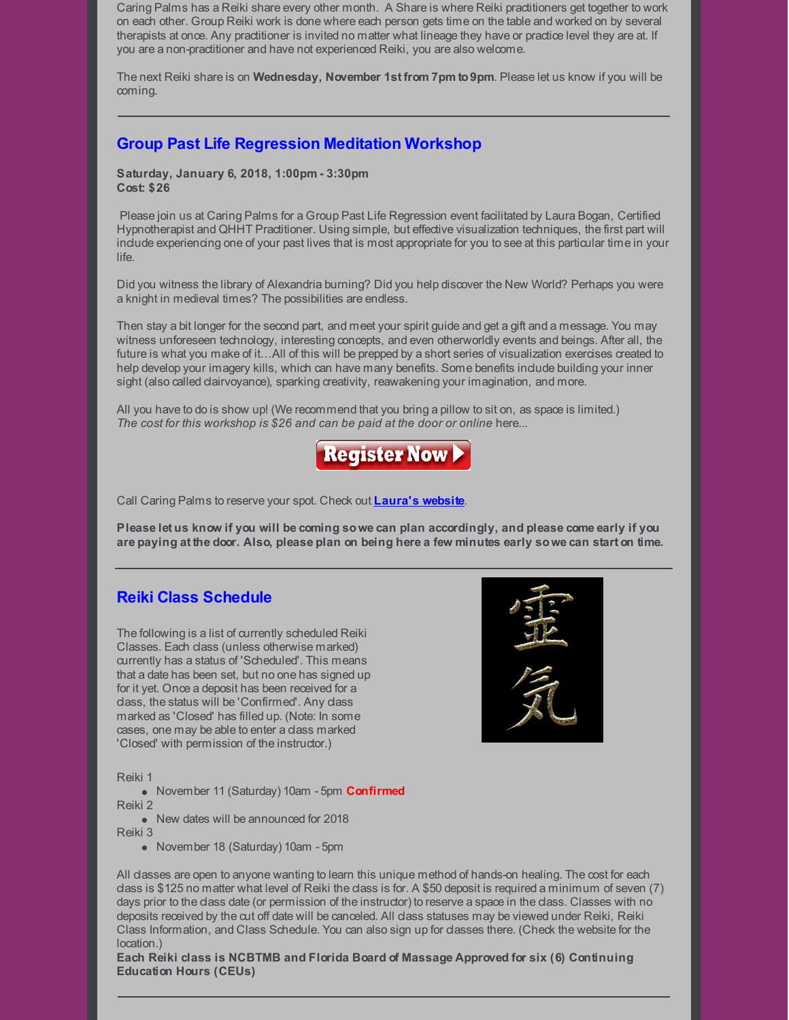Caring Palms has a Reiki share every other month. A Share is where Reiki practitioners get together to work on each other. Group Reiki work is done where each person gets time on the table and worked on by several therapists at once. Any practitioner is invited no matter what lineage they have or practice level they are at. If you are a non-practitioner and have not experienced Reiki, you are also welcome.

The next Reiki share is on **Wednesday, November 1st from 7pm to9pm**. Please let us know if you will be coming.

## **Group Past Life Regression Meditation Workshop**

**Saturday, January 6, 2018, 1:00pm - 3:30pm Cost: \$26**

Please join us at Caring Palms for a Group Past Life Regression event facilitated by Laura Bogan, Certified Hypnotherapist and QHHT Practitioner. Using simple, but effective visualization techniques, the first part will include experiencing one of your past lives that is most appropriate for you to see at this particular time in your life.

Did you witness the library of Alexandria burning? Did you help discover the New World? Perhaps you were a knight in medieval times? The possibilities are endless.

Then stay a bit longer for the second part, and meet your spirit guide and get a gift and a message. You may witness unforeseen technology, interesting concepts, and even otherworldly events and beings. After all, the future is what you make of it...All of this will be prepped by a short series of visualization exercises created to help develop your imagery kills, which can have many benefits. Some benefits include building your inner sight (also called dairvoyance), sparking creativity, reawakening your imagination, and more.

All you have to do is show up! (We recommend that you bring a pillow to sit on, as space is limited.) *The cost for this workshop is \$26 and can be paid at the door or online* here...



Call Caring Palms to reserve your spot. Check out **[Laura's](https://www.soultrekexperience.com/) website**.

Please let us know if you will be coming so we can plan accordingly, and please come early if you are paying at the door. Also, please plan on being here a few minutes early so we can start on time.

## **Reiki Class Schedule**

The following is a list of currently scheduled Reiki Classes. Each class (unless otherwise marked) currently has a status of 'Scheduled'. This means that a date has been set, but no one has signed up for it yet. Once a deposit has been received for a class, the status will be 'Confirmed'. Any class marked as 'Closed' has filled up. (Note: In some cases, one may be able to enter a class marked 'Closed' with permission of the instructor.)

Reiki 1

November 11 (Saturday) 10am - 5pm **Confirmed** Reiki 2

• New dates will be announced for 2018

Reiki 3

• November 18 (Saturday) 10am - 5pm

All classes are open to anyone wanting to learn this unique method of hands-on healing. The cost for each class is \$125 no matter what level of Reiki the class is for. A \$50 deposit is required a minimum of seven (7) days prior to the class date (or permission of the instructor) to reserve a space in the class. Classes with no deposits received by the cut off date will be canceled. All class statuses may be viewed under Reiki, Reiki Class Information, and Class Schedule. You can also sign up for classes there. (Check the website for the location.)

**Each Reiki class is NCBTMB and Florida Board of Massage Approved for six (6) Continuing Education Hours (CEUs)**

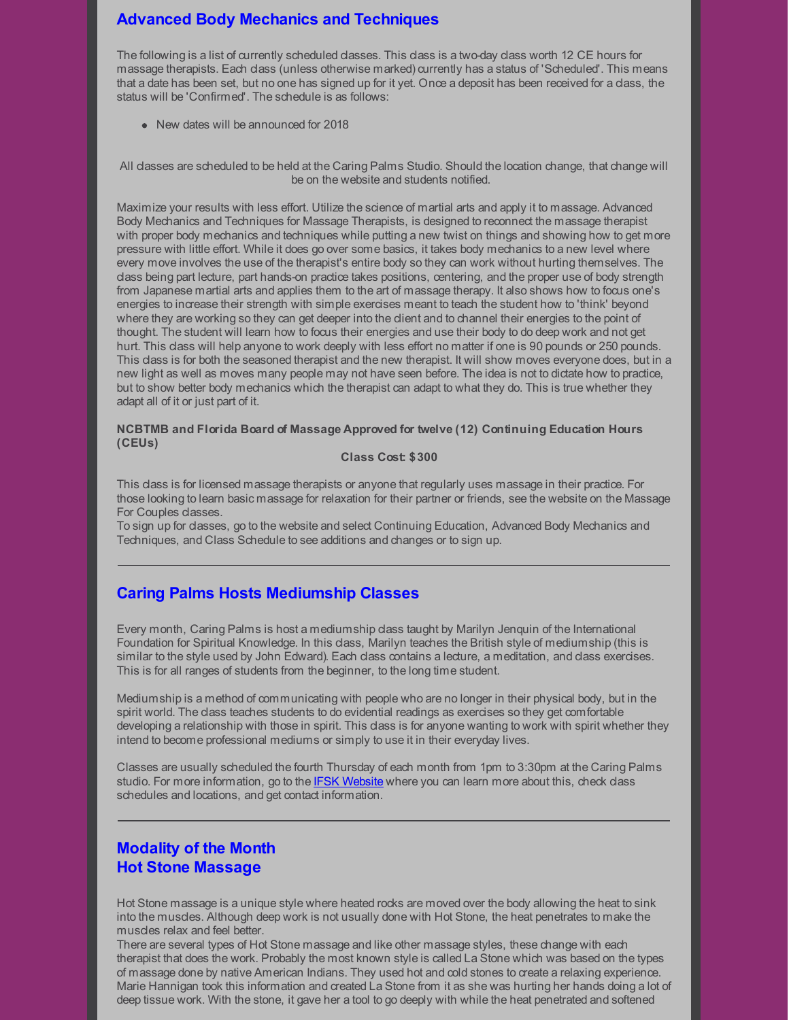# **Advanced Body Mechanics and Techniques**

The following is a list of currently scheduled classes. This class is a two-day class worth 12 CE hours for massage therapists. Each class (unless otherwise marked) currently has a status of 'Scheduled'. This means that a date has been set, but no one has signed up for it yet. Once a deposit has been received for a class, the status will be 'Confirmed'. The schedule is as follows:

• New dates will be announced for 2018

All dasses are scheduled to be held at the Caring Palms Studio. Should the location change, that change will be on the website and students notified.

Maximize your results with less effort. Utilize the science of martial arts and apply it to massage. Advanced Body Mechanics and Techniques for Massage Therapists, is designed to reconnect the massage therapist with proper body mechanics and techniques while putting a new twist on things and showing how to get more pressure with little effort. While it does go over some basics, it takes body mechanics to a new level where every move involves the use of the therapist's entire body so they can work without hurting themselves. The class being part lecture, part hands-on practice takes positions, centering, and the proper use of body strength from Japanese martial arts and applies them to the art of massage therapy. It also shows how to focus one's energies to increase their strength with simple exercises meant to teach the student how to 'think' beyond where they are working so they can get deeper into the dient and to channel their energies to the point of thought. The student will learn how to focus their energies and use their body to do deep work and not get hurt. This class will help anyone to work deeply with less effort no matter if one is 90 pounds or 250 pounds. This dass is for both the seasoned therapist and the new therapist. It will show moves everyone does, but in a new light as well as moves many people may not have seen before. The idea is not to dictate how to practice, but to show better body mechanics which the therapist can adapt to what they do. This is true whether they adapt all of it or just part of it.

#### **NCBTMB and Florida Board of Massage Approved for twelve (12) Continuing Education Hours (CEUs)**

#### **Class Cost: \$300**

This class is for licensed massage therapists or anyone that regularly uses massage in their practice. For those looking to learn basic massage for relaxation for their partner or friends, see the website on the Massage For Couples classes.

To sign up for classes, go to the website and select Continuing Education, Advanced Body Mechanics and Techniques, and Class Schedule to see additions and changes or to sign up.

## **Caring Palms Hosts Mediumship Classes**

Every month, Caring Palms is host a mediumship class taught by Marilyn Jenquin of the International Foundation for Spiritual Knowledge. In this class, Marilyn teaches the British style of mediumship (this is similar to the style used by John Edward). Each class contains a lecture, a meditation, and class exercises. This is for all ranges of students from the beginner, to the long time student.

Mediumship is a method of communicating with people who are no longer in their physical body, but in the spirit world. The class teaches students to do evidential readings as exercises so they get comfortable developing a relationship with those in spirit. This class is for anyone wanting to work with spirit whether they intend to become professional mediums or simply to use it in their everyday lives.

Classes are usually scheduled the fourth Thursday of each month from 1pm to 3:30pm at the Caring Palms studio. For more information, go to the IFSK [Website](http://www.ifsk.org/) where you can learn more about this, check class schedules and locations, and get contact information.

# **Modality of the Month Hot Stone Massage**

Hot Stone massage is a unique style where heated rocks are moved over the body allowing the heat to sink into the muscles. Although deep work is not usually done with Hot Stone, the heat penetrates to make the muscles relax and feel better.

There are several types of Hot Stone massage and like other massage styles, these change with each therapist that does the work. Probably the most known style is called La Stone which was based on the types of massage done by native American Indians. They used hot and cold stones to create a relaxing experience. Marie Hannigan took this information and created La Stone from it as she was hurting her hands doing a lot of deep tissue work. With the stone, it gave her a tool to go deeply with while the heat penetrated and softened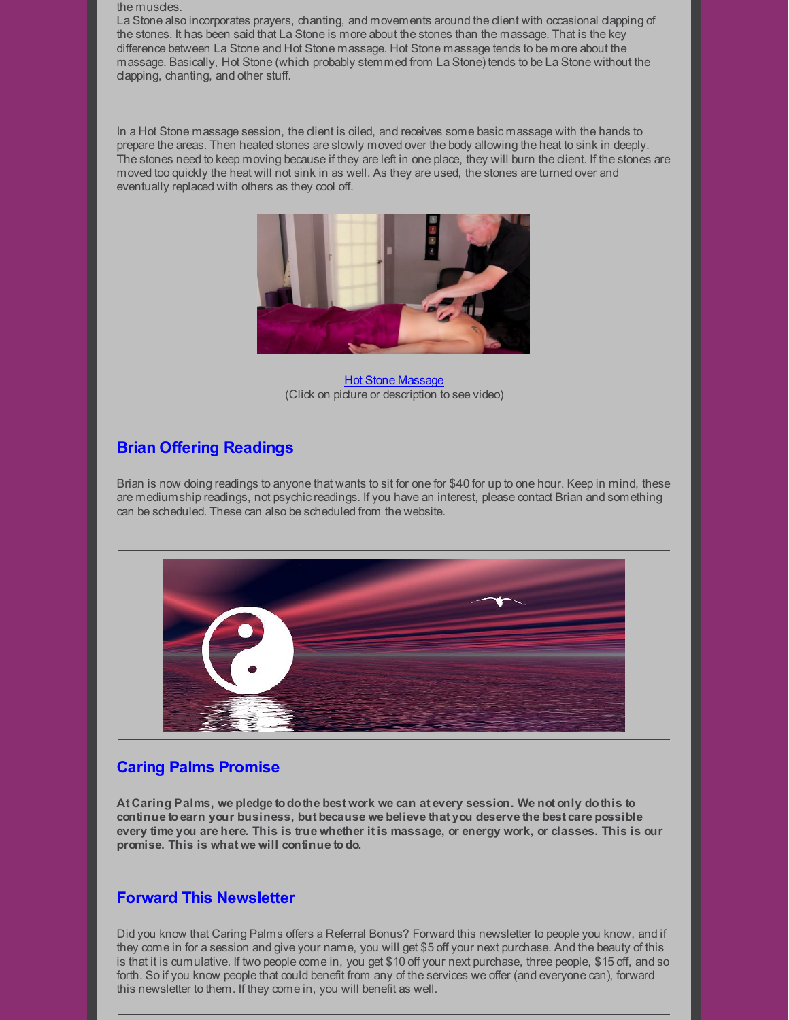#### the muscles.

La Stone also incorporates prayers, chanting, and movements around the client with occasional clapping of the stones. It has been said that La Stone is more about the stones than the massage. That is the key difference between La Stone and Hot Stone massage. Hot Stone massage tends to be more about the massage. Basically, Hot Stone (which probably stemmed from La Stone) tends to be La Stone without the clapping, chanting, and other stuff.

In a Hot Stone massage session, the client is oiled, and receives some basic massage with the hands to prepare the areas. Then heated stones are slowly moved over the body allowing the heat to sink in deeply. The stones need to keep moving because if they are left in one place, they will burn the client. If the stones are moved too quickly the heat will not sink in as well. As they are used, the stones are turned over and eventually replaced with others as they cool off.



Hot Stone [Massage](https://www.youtube.com/watch?time_continue=10&v=r-yy3iT28F4) (Click on picture or description to see video)

## **Brian Offering Readings**

Brian is now doing readings to anyone that wants to sit for one for \$40 for up to one hour. Keep in mind, these are mediumship readings, not psychic readings. If you have an interest, please contact Brian and something can be scheduled. These can also be scheduled from the website.



## **Caring Palms Promise**

**At Caring Palms, we pledge todothe best work we can at every session. We not only dothis to continue toearn your business, but because we believe that you deserve the best care possible** every time you are here. This is true whether it is massage, or energy work, or classes. This is our **promise. This is what we will continue todo.**

#### **Forward This Newsletter**

Did you know that Caring Palms offers a Referral Bonus? Forward this newsletter to people you know, and if they come in for a session and give your name, you will get \$5 off your next purchase. And the beauty of this is that it is cumulative. If two people come in, you get \$10 off your next purchase, three people, \$15 off, and so forth. So if you know people that could benefit from any of the services we offer (and everyone can), forward this newsletter to them. If they come in, you will benefit as well.